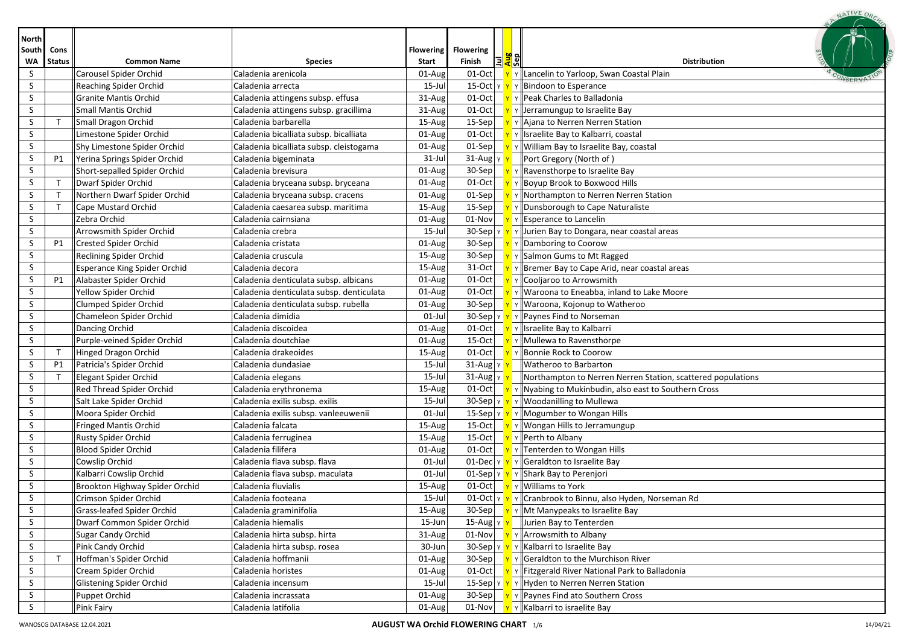| <b>North</b><br>South | Cons          |                                     |                                          | <b>Flowering</b> | <b>Flowering</b>                       |            |                                                                                          |  |
|-----------------------|---------------|-------------------------------------|------------------------------------------|------------------|----------------------------------------|------------|------------------------------------------------------------------------------------------|--|
| W٨                    | <b>Status</b> | <b>Common Name</b>                  | <b>Species</b>                           | <b>Start</b>     | Finish<br>El                           | das<br>Sep | <b>Distribution</b>                                                                      |  |
| S.                    |               | Carousel Spider Orchid              | Caladenia arenicola                      | $01$ -Aug        | 01-Oct                                 |            | Lancelin to Yarloop, Swan Coastal Plain                                                  |  |
| S.                    |               | Reaching Spider Orchid              | Caladenia arrecta                        | $15$ -Jul        | $15$ -Oct $ v $                        |            | Y Bindoon to Esperance                                                                   |  |
| S.                    |               | <b>Granite Mantis Orchid</b>        | Caladenia attingens subsp. effusa        | 31-Aug           | $01-Oct$                               |            | y Peak Charles to Balladonia                                                             |  |
| S                     |               | Small Mantis Orchid                 | Caladenia attingens subsp. gracillima    | 31-Aug           | $01-Oct$                               |            | Y Jerramungup to Israelite Bay                                                           |  |
| S                     | $\mathsf{T}$  | Small Dragon Orchid                 | Caladenia barbarella                     | 15-Aug           | $15-Sep$                               |            | Y Ajana to Nerren Nerren Station                                                         |  |
| S                     |               | Limestone Spider Orchid             | Caladenia bicalliata subsp. bicalliata   | $01$ -Aug        | $01-Oct$                               |            | Y    Israelite Bay to Kalbarri, coastal                                                  |  |
| S.                    |               | Shy Limestone Spider Orchid         | Caladenia bicalliata subsp. cleistogama  | 01-Aug           | $01-Sep$                               |            | Y   William Bay to Israelite Bay, coastal                                                |  |
| S                     | P1            | Yerina Springs Spider Orchid        | Caladenia bigeminata                     | $31$ -Jul        | $31$ -Aug $\vert$ Y                    |            | Port Gregory (North of)                                                                  |  |
| S.                    |               | Short-sepalled Spider Orchid        | Caladenia brevisura                      | $01$ -Aug        | $30-Sep$                               |            | Y Ravensthorpe to Israelite Bay                                                          |  |
| S.                    | $\mathsf{T}$  | Dwarf Spider Orchid                 | Caladenia bryceana subsp. bryceana       | $01$ -Aug        | $01-Oct$                               |            | Y Boyup Brook to Boxwood Hills                                                           |  |
| S                     | $\mathsf{T}$  | Northern Dwarf Spider Orchid        | Caladenia bryceana subsp. cracens        | $01$ -Aug        | $01-Sep$                               |            | Y Northampton to Nerren Nerren Station                                                   |  |
| S                     | $\mathsf{T}$  | Cape Mustard Orchid                 | Caladenia caesarea subsp. maritima       | 15-Aug           | $15-Sep$                               |            | Y Dunsborough to Cape Naturaliste                                                        |  |
| S.                    |               | Zebra Orchid                        | Caladenia cairnsiana                     | 01-Aug           | $01$ -Nov $\sqrt{Y}$                   |            | $\mathbf{v}$ Esperance to Lancelin                                                       |  |
| S.                    |               | Arrowsmith Spider Orchid            | Caladenia crebra                         | 15-Jul           |                                        |            | 30-Sep   Y   Y   Jurien Bay to Dongara, near coastal areas                               |  |
| S                     | <b>P1</b>     | Crested Spider Orchid               | Caladenia cristata                       | 01-Aug           | $30-Sep$                               |            | Y Damboring to Coorow                                                                    |  |
| S.                    |               | Reclining Spider Orchid             | Caladenia cruscula                       | 15-Aug           | $30-Sep$                               |            | Y Salmon Gums to Mt Ragged                                                               |  |
| S.                    |               | <b>Esperance King Spider Orchid</b> | Caladenia decora                         | 15-Aug           | 31-Oct                                 |            | Y Bremer Bay to Cape Arid, near coastal areas                                            |  |
| S.                    | <b>P1</b>     | Alabaster Spider Orchid             | Caladenia denticulata subsp. albicans    | $01$ -Aug        | $01-Oct$                               |            | Y Cooljaroo to Arrowsmith                                                                |  |
| S.                    |               | Yellow Spider Orchid                | Caladenia denticulata subsp. denticulata | $01$ -Aug        | $01-Oct$                               |            | Y Waroona to Eneabba, inland to Lake Moore                                               |  |
| S.                    |               | <b>Clumped Spider Orchid</b>        | Caladenia denticulata subsp. rubella     | 01-Aug           | $30-Sep$                               |            | Y   Waroona, Kojonup to Watheroo                                                         |  |
| S.                    |               | Chameleon Spider Orchid             | Caladenia dimidia                        | $01$ -Jul        | 30-Sep $\vert \text{Y} \vert \text{Y}$ |            | Nor v    Paynes Find to Norseman                                                         |  |
| S.                    |               | Dancing Orchid                      | Caladenia discoidea                      | 01-Aug           | $01-Oct$                               |            | Y Israelite Bay to Kalbarri                                                              |  |
| S                     |               | Purple-veined Spider Orchid         | Caladenia doutchiae                      | 01-Aug           | $15-Oct$                               |            | Y Mullewa to Ravensthorpe                                                                |  |
| S                     | $\top$        | Hinged Dragon Orchid                | Caladenia drakeoides                     | 15-Aug           | $01-Oct$                               |            | Y∥Bonnie Rock to Coorow                                                                  |  |
| S.                    | P1            | Patricia's Spider Orchid            | Caladenia dundasiae                      | $15$ -Jul        | $31$ -Aug $\vert$ Y                    |            | Watheroo to Barbarton                                                                    |  |
| S.                    | $\mathsf{T}$  | Elegant Spider Orchid               | Caladenia elegans                        | 15-Jul           | $31$ -Aug $\vert$ Y                    |            | Northampton to Nerren Nerren Station, scattered populations                              |  |
| S.                    |               | Red Thread Spider Orchid            | Caladenia erythronema                    | $15$ -Aug        | $01$ -Oct $\overline{y}$               |            | Y Nyabing to Mukinbudin, also east to Southern Cross                                     |  |
| S                     |               | Salt Lake Spider Orchid             | Caladenia exilis subsp. exilis           | $15$ -Jul        | 30-Sep $\vert$ Y $\vert$ Y             |            | Y   Woodanilling to Mullewa                                                              |  |
| S.                    |               | Moora Spider Orchid                 | Caladenia exilis subsp. vanleeuwenii     | $01$ -Jul        | 15-Sep γ <mark>γ</mark>                |            | Y Mogumber to Wongan Hills                                                               |  |
| S.                    |               | <b>Fringed Mantis Orchid</b>        | Caladenia falcata                        | $15$ -Aug        | $15$ -Oct                              |            | Y   Wongan Hills to Jerramungup                                                          |  |
| S                     |               | Rusty Spider Orchid                 | Caladenia ferruginea                     | $15$ -Aug        | $15$ -Oct                              |            | Y Perth to Albany                                                                        |  |
| S                     |               | <b>Blood Spider Orchid</b>          | Caladenia filifera                       | $01$ -Aug        | $01-Oct$                               |            | Y Tenterden to Wongan Hills                                                              |  |
| S                     |               | Cowslip Orchid                      | Caladenia flava subsp. flava             | $01$ -Jul        | $01$ -Dec $\vert$ Y $\vert$ Y          |            | Y Geraldton to Israelite Bay                                                             |  |
| S.                    |               | Kalbarri Cowslip Orchid             | Caladenia flava subsp. maculata          | $01$ -Jul        | $01-Sep$ $y$                           |            | Y Shark Bay to Perenjori                                                                 |  |
| S                     |               | Brookton Highway Spider Orchid      | Caladenia fluvialis                      | 15-Aug           | $01-Oct$                               |            | Y   Williams to York                                                                     |  |
| S                     |               | <b>Crimson Spider Orchid</b>        | Caladenia footeana                       | 15-Jul           |                                        |            | 01-Oct   Y   Y   Cranbrook to Binnu, also Hyden, Norseman Rd                             |  |
| S                     |               | Grass-leafed Spider Orchid          | Caladenia graminifolia                   | $15$ -Aug        |                                        |            | 30-Sep $\mathbf{v} \times \mathbf{v}$ Mt Manypeaks to Israelite Bay                      |  |
| S.                    |               | Dwarf Common Spider Orchid          | Caladenia hiemalis                       | 15-Jun           | 15-Aug Y                               |            | Jurien Bay to Tenterden                                                                  |  |
| S.                    |               | Sugar Candy Orchid                  | Caladenia hirta subsp. hirta             | $31 - Aug$       |                                        |            | 01-Nov $\mathbf{v}$ $\mathbf{v}$ $\mathbf{v}$ Arrowsmith to Albany                       |  |
| S.                    |               | Pink Candy Orchid                   | Caladenia hirta subsp. rosea             | 30-Jun           |                                        |            | 30-Sep $\left  \frac{y}{x} \right  \left  \frac{y}{x} \right $ Kalbarri to Israelite Bay |  |
| S                     | $\top$        | Hoffman's Spider Orchid             | Caladenia hoffmanii                      | $01$ -Aug        | 30-Sep $\overline{Y}$                  |            | Y Geraldton to the Murchison River                                                       |  |
| S.                    |               | Cream Spider Orchid                 | Caladenia horistes                       | $01$ -Aug        | $01$ -Oct $\overline{Y}$               |            | v Fitzgerald River National Park to Balladonia                                           |  |
| S.                    |               | Glistening Spider Orchid            | Caladenia incensum                       | 15-Jul           |                                        |            | 15-Sep $\ v\ $ $\ v\ $ Hyden to Nerren Nerren Station                                    |  |
| S.                    |               | Puppet Orchid                       | Caladenia incrassata                     | $01$ -Aug        | $30-Sep$                               |            | Y Paynes Find ato Southern Cross                                                         |  |
| S.                    |               | Pink Fairy                          | Caladenia latifolia                      | $01$ -Aug        | 01-Nov                                 |            | $\mathbf{v}$ $\mathbf{v}$ Kalbarri to israelite Bay                                      |  |

NATIVE ORC.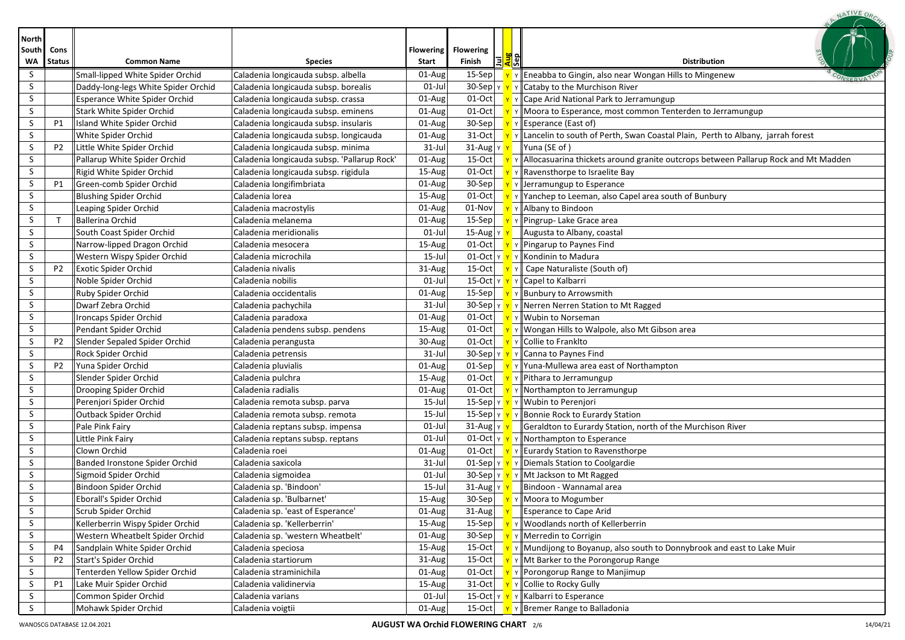| <b>North</b> |                |                                      |                                             |                  |                                   |                          |                                                                                                   |
|--------------|----------------|--------------------------------------|---------------------------------------------|------------------|-----------------------------------|--------------------------|---------------------------------------------------------------------------------------------------|
| South        | Cons           |                                      |                                             | <b>Flowering</b> | <b>Flowering</b>                  |                          |                                                                                                   |
| W٨           | <b>Status</b>  | <b>Common Name</b>                   | <b>Species</b>                              | <b>Start</b>     | Finish                            | 트 <mark>질</mark> 웨       | <b>Distribution</b>                                                                               |
| S            |                | Small-lipped White Spider Orchid     | Caladenia longicauda subsp. albella         | 01-Aug           | $15-$ Sep                         |                          | $\mathbf{v}$ Eneabba to Gingin, also near Wongan Hills to Mingenew                                |
| S.           |                | Daddy-long-legs White Spider Orchid  | Caladenia longicauda subsp. borealis        | $01$ -Jul        |                                   |                          | 30-Sep $\ v\ $ $\ v\ $ Cataby to the Murchison River                                              |
| S.           |                | <b>Esperance White Spider Orchid</b> | Caladenia longicauda subsp. crassa          | 01-Aug           | $01$ -Oct                         |                          | $\mathbf{v}$ $\mathbf{v}$ Cape Arid National Park to Jerramungup                                  |
| S.           |                | Stark White Spider Orchid            | Caladenia longicauda subsp. eminens         | 01-Aug           | $01-Oct$                          |                          | Y Moora to Esperance, most common Tenterden to Jerramungup                                        |
| S            | P1             | Island White Spider Orchid           | Caladenia longicauda subsp. insularis       | 01-Aug           | $30-Sep$                          |                          | $\mathbf{y}$ Y Esperance (East of)                                                                |
| S            |                | White Spider Orchid                  | Caladenia longicauda subsp. longicauda      | 01-Aug           | $31-Oct$                          |                          | $\mathbf{v}$ v Lancelin to south of Perth, Swan Coastal Plain, Perth to Albany, jarrah forest     |
| S            | <b>P2</b>      | Little White Spider Orchid           | Caladenia longicauda subsp. minima          | $31$ -Jul        | 31-Aug Y Y                        |                          | Yuna (SE of)                                                                                      |
| S            |                | Pallarup White Spider Orchid         | Caladenia longicauda subsp. 'Pallarup Rock' | 01-Aug           | $15$ -Oct                         |                          | $\mathbf{v}$ v Allocasuarina thickets around granite outcrops between Pallarup Rock and Mt Madden |
| S            |                | Rigid White Spider Orchid            | Caladenia longicauda subsp. rigidula        | 15-Aug           | $01-Oct$                          |                          | $\mathbf{v}$ $\mathbf{v}$ Ravensthorpe to Israelite Bay                                           |
| S            | P1             | Green-comb Spider Orchid             | Caladenia longifimbriata                    | 01-Aug           | $30-Sep$                          |                          | $\mathbf{v}$ $\mathbf{v}$ Jerramungup to Esperance                                                |
| S.           |                | <b>Blushing Spider Orchid</b>        | Caladenia lorea                             | 15-Aug           | $01-Oct$                          |                          | $\mathbf{v}$ $\mathbf{v}$ Yanchep to Leeman, also Capel area south of Bunbury                     |
| S.           |                | Leaping Spider Orchid                | Caladenia macrostylis                       | 01-Aug           | $01-Nov$                          |                          | Y Y Albany to Bindoon                                                                             |
| S            | $\mathsf{T}$   | Ballerina Orchid                     | Caladenia melanema                          | 01-Aug           | $15-Sep$                          |                          | Y Y Pingrup- Lake Grace area                                                                      |
| S.           |                | South Coast Spider Orchid            | Caladenia meridionalis                      | $01$ -Jul        | 15-Aug  γ <mark>۱</mark>          |                          | Augusta to Albany, coastal                                                                        |
| S            |                | Narrow-lipped Dragon Orchid          | Caladenia mesocera                          | 15-Aug           | $01-Oct$                          |                          | $\mathbf{v}$ Pingarup to Paynes Find                                                              |
| S.           |                | Western Wispy Spider Orchid          | Caladenia microchila                        | 15-Jul           |                                   |                          | 01-Oct $\ v\ $ $\ v\ $ Kondinin to Madura                                                         |
| S            | P <sub>2</sub> | Exotic Spider Orchid                 | Caladenia nivalis                           | 31-Aug           | $15-Oct$                          | $\vert \mathbf{y} \vert$ | Cape Naturaliste (South of)                                                                       |
| S            |                | Noble Spider Orchid                  | Caladenia nobilis                           | $01$ -Jul        |                                   |                          | 15-Oct Y Y Y Capel to Kalbarri                                                                    |
| S.           |                | Ruby Spider Orchid                   | Caladenia occidentalis                      | 01-Aug           | $15-$ Sep                         |                          | <mark>Y</mark> Y Bunbury to Arrowsmith                                                            |
| S.           |                | Dwarf Zebra Orchid                   | Caladenia pachychila                        | $31$ -Jul        |                                   |                          | 30-Sep   $\frac{1}{2}$ $\frac{1}{2}$ $\frac{1}{2}$ Nerren Nerren Station to Mt Ragged             |
| S.           |                | Ironcaps Spider Orchid               | Caladenia paradoxa                          | 01-Aug           | $01-Oct$                          |                          | $\mathbf{v}$ $\mathbf{v}$ Wubin to Norseman                                                       |
| S.           |                | Pendant Spider Orchid                | Caladenia pendens subsp. pendens            | 15-Aug           | $01-Oct$                          |                          | Y Y Wongan Hills to Walpole, also Mt Gibson area                                                  |
| S            | P <sub>2</sub> | Slender Sepaled Spider Orchid        | Caladenia perangusta                        | 30-Aug           | $01-Oct$                          |                          | $\mathbf{v}$ $\mathbf{v}$ Collie to Franklto                                                      |
| S.           |                | Rock Spider Orchid                   | Caladenia petrensis                         | $31$ -Jul        |                                   |                          | 30-Sep $\ v\ $ $\ v\ $ Canna to Paynes Find                                                       |
| S            | <b>P2</b>      | Yuna Spider Orchid                   | Caladenia pluvialis                         | 01-Aug           | $01-Sep$                          |                          | <u>v</u> y Yuna-Mullewa area east of Northampton                                                  |
| S            |                | Slender Spider Orchid                | Caladenia pulchra                           | 15-Aug           |                                   |                          | 01-Oct $\mathbf{v}$ $\mathbf{v}$ Pithara to Jerramungup                                           |
| S            |                | Drooping Spider Orchid               | Caladenia radialis                          | 01-Aug           | $01$ -Oct                         |                          | $\mathbf{y}$ $\mathbf{y}$ Northampton to Jerramungup                                              |
| S            |                | Perenjori Spider Orchid              | Caladenia remota subsp. parva               | 15-Jul           |                                   |                          | 15-Sep   $\frac{1}{\sqrt{2}}$ Y   Wubin to Perenjori                                              |
| S.           |                | Outback Spider Orchid                | Caladenia remota subsp. remota              | 15-Jul           |                                   |                          | 15-Sep $\ v\ $ $\ v\ $ Bonnie Rock to Eurardy Station                                             |
| S            |                | Pale Pink Fairy                      | Caladenia reptans subsp. impensa            | $01$ -Jul        | $31$ -Aug $\frac{1}{11}$          |                          | Geraldton to Eurardy Station, north of the Murchison River                                        |
| S            |                | Little Pink Fairy                    | Caladenia reptans subsp. reptans            | $01$ -Jul        |                                   |                          | $\overline{01\text{-}Oct}$ $\vert$ $\vert$ $\vert$ $\vert$ $\vert$ Northampton to Esperance       |
| S.           |                | Clown Orchid                         | Caladenia roei                              | 01-Aug           |                                   |                          | $\overline{01\text{-}Oct}$ $\overline{Y}$ $\overline{Y}$ Eurardy Station to Ravensthorpe          |
| S            |                | Banded Ironstone Spider Orchid       | Caladenia saxicola                          | $31$ -Jul        |                                   |                          | 01-Sep $\ v\ $ $\ v\ $ Diemals Station to Coolgardie                                              |
| S            |                | Sigmoid Spider Orchid                | Caladenia sigmoidea                         | $01$ -Jul        | $30-$ Sep $\frac{1}{x}$           |                          | $\mathbf{v}$ Mt Jackson to Mt Ragged                                                              |
| S            |                | Bindoon Spider Orchid                | Caladenia sp. 'Bindoon'                     | $15$ -Jul        | $31$ -Aug $\frac{\gamma}{\gamma}$ |                          | Bindoon - Wannamal area                                                                           |
| S            |                | Eborall's Spider Orchid              | Caladenia sp. 'Bulbarnet'                   | 15-Aug           | $30-$ Sep                         |                          | <mark>Y</mark> Y Moora to Mogumber                                                                |
| S            |                | Scrub Spider Orchid                  | Caladenia sp. 'east of Esperance'           | 01-Aug           | $31-Aug$                          |                          | Esperance to Cape Arid                                                                            |
| S.           |                | Kellerberrin Wispy Spider Orchid     | Caladenia sp. 'Kellerberrin'                | 15-Aug           | $15-Sep$                          |                          | Y Woodlands north of Kellerberrin                                                                 |
| S.           |                | Western Wheatbelt Spider Orchid      | Caladenia sp. 'western Wheatbelt'           | 01-Aug           | $30-Sep$                          |                          | $\mathbf{v}$ $\mathbf{v}$ Merredin to Corrigin                                                    |
| S            | P4             | Sandplain White Spider Orchid        | Caladenia speciosa                          | 15-Aug           | $15-Oct$                          |                          | $\mathbf{v}$ Mundijong to Boyanup, also south to Donnybrook and east to Lake Muir                 |
| S            | P <sub>2</sub> | Start's Spider Orchid                | Caladenia startiorum                        | 31-Aug           | $15-Oct$                          |                          | $\mathbf{v}$ v Mt Barker to the Porongorup Range                                                  |
| S.           |                | Tenterden Yellow Spider Orchid       | Caladenia straminichila                     | 01-Aug           | $01-Oct$                          |                          | Y Y Porongorup Range to Manjimup                                                                  |
| S            | P1             | Lake Muir Spider Orchid              | Caladenia validinervia                      | 15-Aug           | $31-Oct$                          |                          | $\mathbf{v}$ Y Collie to Rocky Gully                                                              |
| S            |                | Common Spider Orchid                 | Caladenia varians                           | $01$ -Jul        |                                   |                          | 15-Oct $\mathbf{v} \times \mathbf{v}$ Kalbarri to Esperance                                       |
| S.           |                | Mohawk Spider Orchid                 | Caladenia voigtii                           | 01-Aug           | $15$ -Oct                         |                          | Y Y Bremer Range to Balladonia                                                                    |

NATIVE ORC.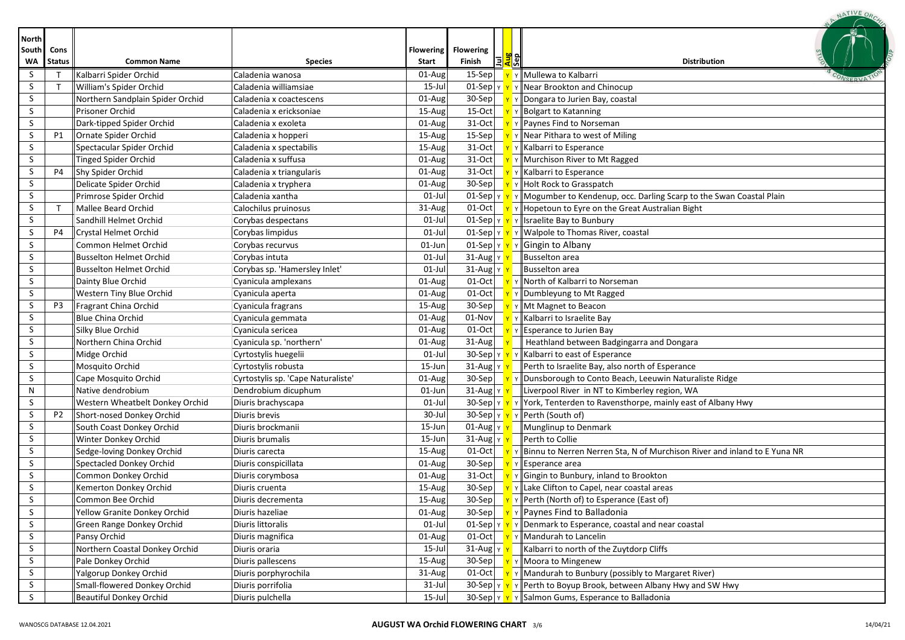|                             |                       |                                  |                                    |                                  |                               |                     | NATIVE OR                                                                                        |
|-----------------------------|-----------------------|----------------------------------|------------------------------------|----------------------------------|-------------------------------|---------------------|--------------------------------------------------------------------------------------------------|
| <b>North</b><br>South<br>WΑ | Cons<br><b>Status</b> | <b>Common Name</b>               | <b>Species</b>                     | <b>Flowering</b><br><b>Start</b> | <b>Flowering</b><br>Finish    | lョ <mark>身</mark> 엛 | <b>Distribution</b>                                                                              |
| S                           | $\mathsf T$           | Kalbarri Spider Orchid           | Caladenia wanosa                   | 01-Aug                           | 15-Sep                        |                     | Y Mullewa to Kalbarri                                                                            |
| S.                          | $\mathsf{T}$          | William's Spider Orchid          | Caladenia williamsiae              | 15-Jul                           |                               |                     | 01-Sep $\ $ $\mathbf{y}$ $\ $ $\mathbf{y}$ $\ $ Near Brookton and Chinocup                       |
| S.                          |                       | Northern Sandplain Spider Orchid | Caladenia x coactescens            | 01-Aug                           | 30-Sep                        |                     | $\mathbf{v}$ v Dongara to Jurien Bay, coastal                                                    |
| S.                          |                       | Prisoner Orchid                  | Caladenia x ericksoniae            | 15-Aug                           | 15-Oct                        |                     | γ   Bolgart to Katanning                                                                         |
| S.                          |                       | Dark-tipped Spider Orchid        | Caladenia x exoleta                | 01-Aug                           | 31-Oct                        |                     | Y Y Paynes Find to Norseman                                                                      |
| S                           | P1                    | Ornate Spider Orchid             | Caladenia x hopperi                | 15-Aug                           | $15-Sep$                      |                     | $\mathbf{v}$ $\mathbf{v}$ Near Pithara to west of Miling                                         |
| S                           |                       | Spectacular Spider Orchid        | Caladenia x spectabilis            | 15-Aug                           | 31-Oct                        |                     | $\mathbf{y}$ $\mathbf{y}$ Kalbarri to Esperance                                                  |
| S.                          |                       | <b>Tinged Spider Orchid</b>      | Caladenia x suffusa                | 01-Aug                           | 31-Oct                        |                     | Y Y Murchison River to Mt Ragged                                                                 |
| S                           | P4                    | Shy Spider Orchid                | Caladenia x triangularis           | 01-Aug                           | 31-Oct                        |                     | <b>Y</b> Y Kalbarri to Esperance                                                                 |
| S                           |                       | Delicate Spider Orchid           | Caladenia x tryphera               | 01-Aug                           | 30-Sep                        |                     | $\mathbf{y}$ $\mathbf{y}$ Holt Rock to Grasspatch                                                |
| S.                          |                       | Primrose Spider Orchid           | Caladenia xantha                   | 01-Jul                           |                               |                     | 01-Sep $\ v\ $ $\ v\ $ Mogumber to Kendenup, occ. Darling Scarp to the Swan Coastal Plain        |
| S.                          | $\top$                | Mallee Beard Orchid              | Calochilus pruinosus               | 31-Aug                           | $01-Oct$                      |                     | $\mathbf{v}$ $\mathbf{v}$ Hopetoun to Eyre on the Great Australian Bight                         |
| S                           |                       | Sandhill Helmet Orchid           | Corybas despectans                 | $01-Jul$                         |                               |                     | 01-Sep $\ v\ $ $\ v\ $ Israelite Bay to Bunbury                                                  |
| S                           | P4                    | Crystal Helmet Orchid            | Corybas limpidus                   | 01-Jul                           |                               |                     | 01-Sep $\sqrt{\mathbf{y} \cdot \mathbf{y}}$ $\sqrt{\mathbf{w}}$ Walpole to Thomas River, coastal |
| S                           |                       | Common Helmet Orchid             | Corybas recurvus                   | 01-Jun                           | $01-Sep$ $v$ $v$              |                     | Y Gingin to Albany                                                                               |
| S                           |                       | <b>Busselton Helmet Orchid</b>   | Corybas intuta                     | 01-Jul                           | 31-Aug Y Y                    |                     | Busselton area                                                                                   |
| S                           |                       | <b>Busselton Helmet Orchid</b>   | Corybas sp. 'Hamersley Inlet'      | $01$ -Jul                        | $31$ -Aug $\sqrt{Y}$          |                     | Busselton area                                                                                   |
| S                           |                       | Dainty Blue Orchid               | Cyanicula amplexans                | 01-Aug                           | $01-Oct$                      |                     | <b>Y</b> Y North of Kalbarri to Norseman                                                         |
| S                           |                       | Western Tiny Blue Orchid         | Cyanicula aperta                   | 01-Aug                           | 01-Oct                        |                     | Y Dumbleyung to Mt Ragged                                                                        |
| S                           | P3                    | Fragrant China Orchid            | Cyanicula fragrans                 | 15-Aug                           | 30-Sep                        |                     | Y   Mt Magnet to Beacon                                                                          |
| S.                          |                       | <b>Blue China Orchid</b>         | Cyanicula gemmata                  | 01-Aug                           | 01-Nov                        |                     | Y Kalbarri to Israelite Bay                                                                      |
| S                           |                       | Silky Blue Orchid                | Cyanicula sericea                  | 01-Aug                           | 01-Oct                        |                     | Y Esperance to Jurien Bay                                                                        |
| S                           |                       | Northern China Orchid            | Cyanicula sp. 'northern'           | 01-Aug                           | 31-Aug                        |                     | Heathland between Badgingarra and Dongara                                                        |
| S                           |                       | Midge Orchid                     | Cyrtostylis huegelii               | 01-Jul                           |                               |                     | 30-Sep $\ $ $\mathbf{v}$ $\ $ $\mathbf{v}$ $\ $ Kalbarri to east of Esperance                    |
| S                           |                       | Mosquito Orchid                  | Cyrtostylis robusta                | 15-Jun                           | $31$ -Aug $\vert$ Y           |                     | Perth to Israelite Bay, also north of Esperance                                                  |
| S                           |                       | Cape Mosquito Orchid             | Cyrtostylis sp. 'Cape Naturaliste' | 01-Aug                           | $30-$ Sep                     |                     | Dunsborough to Conto Beach, Leeuwin Naturaliste Ridge                                            |
| N                           |                       | Native dendrobium                | Dendrobium dicuphum                | 01-Jun                           | $31$ -Aug $\vert$ Y           |                     | Liverpool River in NT to Kimberley region, WA                                                    |
| S                           |                       | Western Wheatbelt Donkey Orchid  | Diuris brachyscapa                 | $01$ -Jul                        |                               |                     | 30-Sep  Y   Y   York, Tenterden to Ravensthorpe, mainly east of Albany Hwy                       |
| S.                          | P <sub>2</sub>        | Short-nosed Donkey Orchid        | Diuris brevis                      | 30-Jul                           | 30-Sep $\vert \text{Y} \vert$ |                     | Y Perth (South of)                                                                               |
| S.                          |                       | South Coast Donkey Orchid        | Diuris brockmanii                  | 15-Jun                           | $01$ -Aug $\vert$ Y           |                     | Munglinup to Denmark                                                                             |
| S                           |                       | Winter Donkey Orchid             | Diuris brumalis                    | 15-Jun                           | $31$ -Aug $\vert$ Y           |                     | Perth to Collie                                                                                  |
| S                           |                       | Sedge-loving Donkey Orchid       | Diuris carecta                     | 15-Aug                           | $01-Oct$                      |                     | Y Binnu to Nerren Nerren Sta, N of Murchison River and inland to E Yuna NR                       |
| S                           |                       | Spectacled Donkey Orchid         | Diuris conspicillata               | 01-Aug                           | $30-Sep$                      |                     | <b>Y</b> Y Esperance area                                                                        |
| S                           |                       | Common Donkey Orchid             | Diuris corymbosa                   | 01-Aug                           |                               |                     | 31-Oct $\mathbf{v}$ $\mathbf{v}$ $\mathbf{F}$ $\mathbf{v}$ Gingin to Bunbury, inland to Brookton |
| $\varsigma$                 |                       | Kemerton Donkey Orchid           | Diuris cruenta                     | 15-Aug                           |                               |                     | 30-Sep $\mathbf{v}$ $\mathbf{v}$ Lake Clifton to Capel, near coastal areas                       |
| S                           |                       | Common Bee Orchid                | Diuris decrementa                  | 15-Aug                           | 30-Sep                        |                     | $\mathbf{v}$ $\mathbf{v}$ Perth (North of) to Esperance (East of)                                |
| S.                          |                       | Yellow Granite Donkey Orchid     | Diuris hazeliae                    | 01-Aug                           | 30-Sep                        |                     | Paynes Find to Balladonia                                                                        |
| S.                          |                       | Green Range Donkey Orchid        | Diuris littoralis                  | $01$ -Jul                        | $01-Sep$ $y$ $y$              |                     | $\mathbf{v}$ Denmark to Esperance, coastal and near coastal                                      |
| S.                          |                       | Pansy Orchid                     | Diuris magnifica                   | 01-Aug                           | $01-Oct$                      |                     | Y Mandurah to Lancelin                                                                           |
| S                           |                       | Northern Coastal Donkey Orchid   | Diuris oraria                      | 15-Jul                           | $31$ -Aug $\vert$ Y $\vert$   |                     | Kalbarri to north of the Zuytdorp Cliffs                                                         |
| S.                          |                       | Pale Donkey Orchid               | Diuris pallescens                  | 15-Aug                           | $30-Sep$                      |                     | Y Moora to Mingenew                                                                              |
| S.                          |                       | Yalgorup Donkey Orchid           | Diuris porphyrochila               | 31-Aug                           | $01-Oct$                      |                     | Y Mandurah to Bunbury (possibly to Margaret River)                                               |
| S.                          |                       | Small-flowered Donkey Orchid     | Diuris porrifolia                  | 31-Jul                           |                               |                     | 30-Sep $\ v\ $ $\ v\ $ Perth to Boyup Brook, between Albany Hwy and SW Hwy                       |
| S.                          |                       | Beautiful Donkey Orchid          | Diuris pulchella                   | 15-Jul                           |                               |                     | 30-Sep   Y   Y   Salmon Gums, Esperance to Balladonia                                            |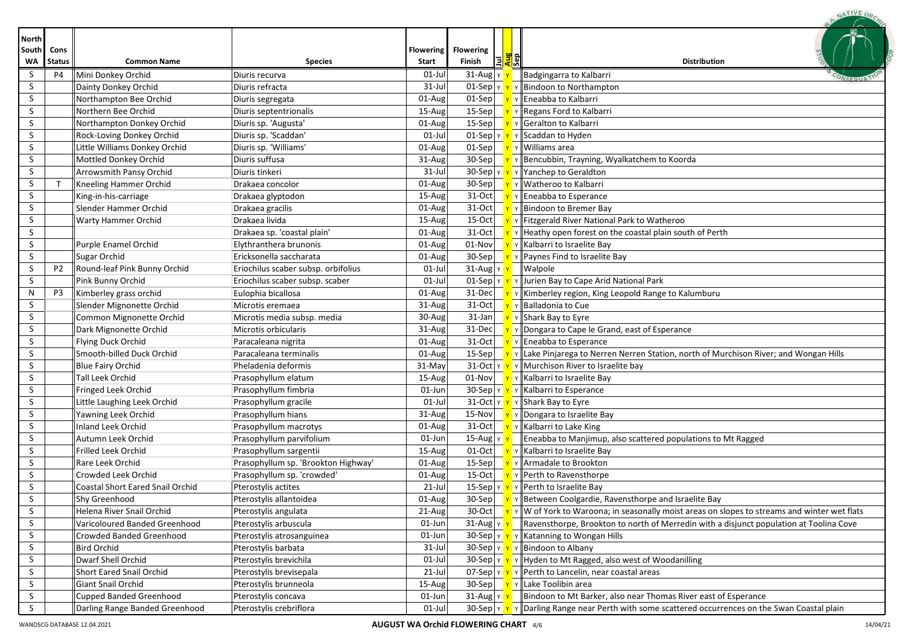|                       |                |                                  |                                     |                  |                                         |              | NATIVE OR                                                                                                                           |
|-----------------------|----------------|----------------------------------|-------------------------------------|------------------|-----------------------------------------|--------------|-------------------------------------------------------------------------------------------------------------------------------------|
| <b>North</b><br>South | Cons           |                                  |                                     | <b>Flowering</b> | <b>Flowering</b>                        |              |                                                                                                                                     |
| WA                    | <b>Status</b>  | <b>Common Name</b>               | <b>Species</b>                      | <b>Start</b>     | Finish<br>EI                            | das<br>Sep   | <b>Distribution</b>                                                                                                                 |
| S                     | <b>P4</b>      | Mini Donkey Orchid               | Diuris recurva                      | $01$ -Jul        | $31-Au$ g<br>Y                          |              | Badgingarra to Kalbarri                                                                                                             |
| S                     |                | Dainty Donkey Orchid             | Diuris refracta                     | 31-Jul           | $01-Sep$ $y$ $y$                        |              | Y Bindoon to Northampton                                                                                                            |
| S                     |                | Northampton Bee Orchid           | Diuris segregata                    | 01-Aug           | $01-Sep$                                |              | Y Eneabba to Kalbarri                                                                                                               |
| S                     |                | Northern Bee Orchid              | Diuris septentrionalis              | 15-Aug           | 15-Sep                                  |              | Y Regans Ford to Kalbarri                                                                                                           |
| S                     |                | Northampton Donkey Orchid        | Diuris sp. 'Augusta'                | $01-Aug$         | $15-Sep$                                |              | Y Geralton to Kalbarri                                                                                                              |
| S                     |                | Rock-Loving Donkey Orchid        | Diuris sp. 'Scaddan'                | $01$ -Jul        |                                         |              | 01-Sep $\  \mathbf{v} \  \mathbf{v} \ $ Scaddan to Hyden                                                                            |
| S                     |                | Little Williams Donkey Orchid    | Diuris sp. 'Williams'               | 01-Aug           | $01-Sep$                                |              | <b>Y</b> Y Williams area                                                                                                            |
| S                     |                | Mottled Donkey Orchid            | Diuris suffusa                      | 31-Aug           |                                         |              | 30-Sep   <u>Y</u> Y Bencubbin, Trayning, Wyalkatchem to Koorda                                                                      |
| S                     |                | Arrowsmith Pansy Orchid          | Diuris tinkeri                      | $31$ -Jul        |                                         |              | 30-Sep $\ v\ $ $\ v\ $ Yanchep to Geraldton                                                                                         |
| S                     |                | Kneeling Hammer Orchid           | Drakaea concolor                    | 01-Aug           | 30-Sep $\vert \ \vert \mathbf{v} \vert$ |              | v    Watheroo to Kalbarri                                                                                                           |
| S                     |                | King-in-his-carriage             | Drakaea glyptodon                   | 15-Aug           |                                         |              | 31-Oct $\mathbf{v} \times \mathbf{F}$ Freabba to Esperance                                                                          |
| S                     |                | Slender Hammer Orchid            | Drakaea gracilis                    | 01-Aug           | $31-Oct$                                |              | <b>Y</b> Y Bindoon to Bremer Bay                                                                                                    |
| S                     |                | Warty Hammer Orchid              | Drakaea livida                      | 15-Aug           | $15$ -Oct                               |              | Y Y Fitzgerald River National Park to Watheroo                                                                                      |
| S                     |                |                                  | Drakaea sp. 'coastal plain'         | 01-Aug           | 31-Oct                                  |              | Y Heathy open forest on the coastal plain south of Perth                                                                            |
| S                     |                | Purple Enamel Orchid             | Elythranthera brunonis              | 01-Aug           | 01-Nov                                  |              | Y Kalbarri to Israelite Bay                                                                                                         |
| S                     |                | Sugar Orchid                     | Ericksonella saccharata             | 01-Aug           | 30-Sep                                  |              | Y Paynes Find to Israelite Bay                                                                                                      |
| S                     | P <sub>2</sub> | Round-leaf Pink Bunny Orchid     | Eriochilus scaber subsp. orbifolius | $01$ -Jul        | $31$ -Aug Y Y                           |              | <b>Walpole</b>                                                                                                                      |
| S                     |                | Pink Bunny Orchid                | Eriochilus scaber subsp. scaber     | $01$ -Jul        |                                         |              | 01-Sep $\ v\ $ $\ v\ $ Jurien Bay to Cape Arid National Park                                                                        |
| N                     | P3             | Kimberley grass orchid           | Eulophia bicallosa                  | 01-Aug           | 31-Decl                                 | $\mathbf{Y}$ | Y Kimberley region, King Leopold Range to Kalumburu                                                                                 |
| S                     |                | Slender Mignonette Orchid        | Microtis eremaea                    | 31-Aug           | 31-Oct                                  |              | Y Balladonia to Cue                                                                                                                 |
| S                     |                | Common Mignonette Orchid         | Microtis media subsp. media         | 30-Aug           | $31$ -Jan                               |              | <mark>Y</mark> Y Shark Bay to Eyre                                                                                                  |
| S                     |                | Dark Mignonette Orchid           | Microtis orbicularis                | $31-Aug$         | 31-Dec                                  |              | Y Dongara to Cape le Grand, east of Esperance                                                                                       |
| S                     |                | Flying Duck Orchid               | Paracaleana nigrita                 | 01-Aug           |                                         |              | 31-Oct $\mathbf{v}$ $\mathbf{v}$ <b>Eneabba to Esperance</b>                                                                        |
| S                     |                | Smooth-billed Duck Orchid        | Paracaleana terminalis              | 01-Aug           |                                         |              | 15-Sep $\ \mathbf{v}\ $ Lake Pinjarega to Nerren Nerren Station, north of Murchison River; and Wongan Hills                         |
| S                     |                | <b>Blue Fairy Orchid</b>         | Pheladenia deformis                 | 31-May           |                                         |              | 31-Oct $\ v\ $ $\ v\ $ Murchison River to Israelite bay                                                                             |
| S                     |                | Tall Leek Orchid                 | Prasophyllum elatum                 | 15-Aug           |                                         |              | 01-Nov $\mathbf{v}$ $\mathbf{v}$ $\mathbf{v}$ Kalbarri to Israelite Bay                                                             |
| S.                    |                | Fringed Leek Orchid              | Prasophyllum fimbria                | $01$ -Jun        |                                         |              | 30-Sep   Y   Y   Kalbarri to Esperance                                                                                              |
| S.                    |                | Little Laughing Leek Orchid      | Prasophyllum gracile                | $01$ -Jul        |                                         |              | 31-Oct $\mathbf{v} \times \mathbf{v}$ Y Shark Bay to Eyre                                                                           |
| S                     |                | Yawning Leek Orchid              | Prasophyllum hians                  | 31-Aug           |                                         |              | 15-Nov $\mathbf{v}$ $\mathbf{v}$ Pongara to Israelite Bay                                                                           |
| S                     |                | <b>Inland Leek Orchid</b>        | Prasophyllum macrotys               | 01-Aug           |                                         |              | 31-Oct $\mathbf{v} \times \mathbf{k}$ Y Kalbarri to Lake King                                                                       |
| S                     |                | Autumn Leek Orchid               | Prasophyllum parvifolium            | $01$ -Jun        | 15-Aug γ <mark>γ</mark>                 |              | Eneabba to Manjimup, also scattered populations to Mt Ragged                                                                        |
| S                     |                | Frilled Leek Orchid              | Prasophyllum sargentii              | 15-Aug           |                                         |              | 01-Oct $\mathbf{v}$ $\mathbf{v}$ Kalbarri to Israelite Bay                                                                          |
| S                     |                | Rare Leek Orchid                 | Prasophyllum sp. 'Brookton Highway' | 01-Aug           |                                         |              | 15-Sep $\mathbf{v}$ $\mathbf{v}$ Armadale to Brookton                                                                               |
| S                     |                | Crowded Leek Orchid              | Prasophyllum sp. 'crowded'          | 01-Aug           |                                         |              | 15-Oct $\mathbf{v}$ $\mathbf{v}$ Perth to Ravensthorpe                                                                              |
| S.                    |                | Coastal Short Eared Snail Orchid | Pterostylis actites                 | $21$ -Jul        |                                         |              | 15-Sep $\ v\ $ $\gamma$ $\ $ Perth to Israelite Bay                                                                                 |
| S                     |                | Shy Greenhood                    | Pterostylis allantoidea             | 01-Aug           | $30-Sep$                                |              | Y Between Coolgardie, Ravensthorpe and Israelite Bay                                                                                |
| S                     |                | Helena River Snail Orchid        | Pterostylis angulata                | 21-Aug           | $30-Oct$                                |              | $\parallel$ W of York to Waroona; in seasonally moist areas on slopes to streams and winter wet flats                               |
| S                     |                | Varicoloured Banded Greenhood    | Pterostylis arbuscula               | $01$ -Jun        | $31$ -Aug   Y                           |              | Ravensthorpe, Brookton to north of Merredin with a disjunct population at Toolina Cove                                              |
| S                     |                | Crowded Banded Greenhood         | Pterostylis atrosanguinea           | $01$ -Jun        | 30-Sep $\vert$ Y $\vert$ Y              |              | Y Katanning to Wongan Hills                                                                                                         |
| S                     |                | <b>Bird Orchid</b>               | Pterostylis barbata                 | $31$ -Jul        |                                         |              | 30-Sep $\vert \mathbf{v} \vert \mathbf{v} \vert$ Plindoon to Albany                                                                 |
| S                     |                | Dwarf Shell Orchid               | Pterostylis brevichila              | $01$ -Jul        |                                         |              | 30-Sep $ v $ $\mathbf{v}$ $\mathbf{v}$ $\mathbf{v}$ Hyden to Mt Ragged, also west of Woodanilling                                   |
| S                     |                | <b>Short Eared Snail Orchid</b>  | Pterostylis brevisepala             | $21$ -Jul        |                                         |              | 07-Sep $\left  \frac{y}{x} \right $ $\left  \frac{y}{y} \right $ Perth to Lancelin, near coastal areas                              |
| S                     |                | Giant Snail Orchid               | Pterostylis brunneola               | 15-Aug           | $30-Sep$ $v$                            |              | Y Lake Toolibin area                                                                                                                |
| S                     |                | Cupped Banded Greenhood          | Pterostylis concava                 | $01$ -Jun        | $31$ -Aug $\frac{y}{x}$                 |              | Bindoon to Mt Barker, also near Thomas River east of Esperance                                                                      |
| S                     |                | Darling Range Banded Greenhood   | Pterostylis crebriflora             | $01$ -Jul        |                                         |              | 30-Sep $\  \mathbf{v} \ ^2$ $\  \mathbf{v} \ ^2$ Darling Range near Perth with some scattered occurrences on the Swan Coastal plain |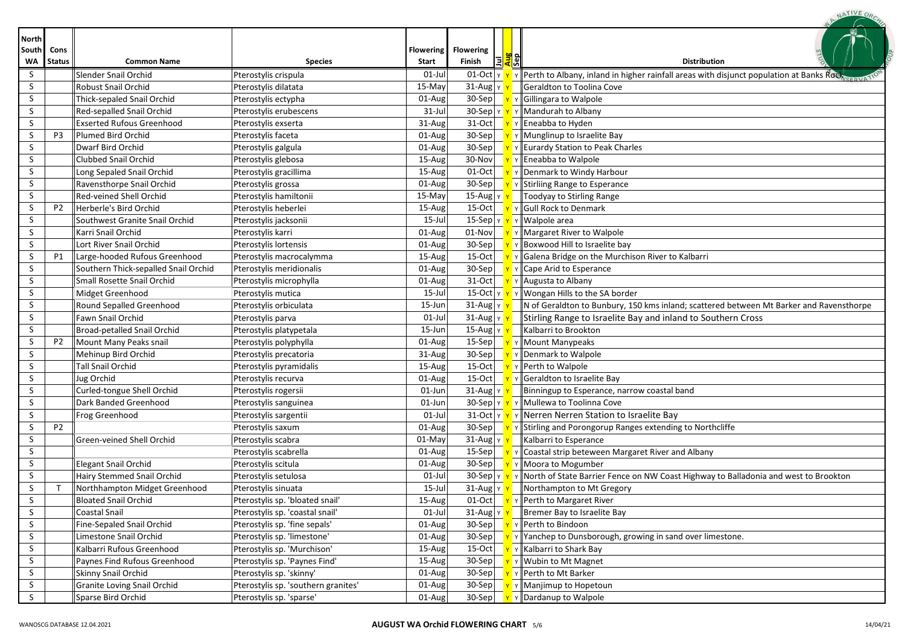| <b>North</b><br>South<br>WΑ | Cons<br><b>Status</b> | <b>Common Name</b>                   | <b>Species</b>                      | <b>Flowering</b><br><b>Start</b> | <b>Flowering</b><br>Finish<br>l∃l         | <b><u>any</u></b><br><b>Distribution</b>                                                  |
|-----------------------------|-----------------------|--------------------------------------|-------------------------------------|----------------------------------|-------------------------------------------|-------------------------------------------------------------------------------------------|
| S.                          |                       | Slender Snail Orchid                 | Pterostylis crispula                | $01$ -Jul                        | $01$ -Oct $\vert$ Y $\vert$ Y             | Y Perth to Albany, inland in higher rainfall areas with disjunct population at Banks Rock |
| S.                          |                       | <b>Robust Snail Orchid</b>           | Pterostylis dilatata                | 15-May                           | $31$ -Aug $\vert$ Y                       | Geraldton to Toolina Cove                                                                 |
| S.                          |                       | Thick-sepaled Snail Orchid           | Pterostylis ectypha                 | 01-Aug                           | $30-Sep$ $v$                              | Y Gillingara to Walpole                                                                   |
| S.                          |                       | Red-sepalled Snail Orchid            | Pterostylis erubescens              | $31$ -Jul                        | $30-$ Sep $\vert \text{y} \vert \text{y}$ | Y Mandurah to Albany                                                                      |
| S                           |                       | <b>Exserted Rufous Greenhood</b>     | Pterostylis exserta                 | 31-Aug                           | $31-Oct$                                  | Y Eneabba to Hyden                                                                        |
| S                           | P <sub>3</sub>        | Plumed Bird Orchid                   | Pterostylis faceta                  | $01$ -Aug                        | $30-Sep$                                  | Y Munglinup to Israelite Bay                                                              |
| S                           |                       | Dwarf Bird Orchid                    | Pterostylis galgula                 | 01-Aug                           | $30-Sep$                                  | Eurardy Station to Peak Charles                                                           |
| S.                          |                       | <b>Clubbed Snail Orchid</b>          | Pterostylis glebosa                 | 15-Aug                           | 30-Nov                                    | Y Eneabba to Walpole                                                                      |
| S.                          |                       | Long Sepaled Snail Orchid            | Pterostylis gracillima              | $15$ -Aug                        | $01-Oct$                                  | Y Denmark to Windy Harbour                                                                |
| S                           |                       | Ravensthorpe Snail Orchid            | Pterostylis grossa                  | $01$ -Aug                        | $30-Sep$                                  | Y Stirliing Range to Esperance                                                            |
| S.                          |                       | Red-veined Shell Orchid              | Pterostylis hamiltonii              | 15-May                           | 15-Aug $\vert$ Y                          | Toodyay to Stirling Range                                                                 |
| S                           | P <sub>2</sub>        | Herberle's Bird Orchid               | Pterostylis heberlei                | 15-Aug                           | 15-Oct $\vert \hspace{0.1cm} \vert$       | Y Gull Rock to Denmark                                                                    |
| S.                          |                       | Southwest Granite Snail Orchid       | Pterostylis jacksonii               | $15$ -Jul                        | 15-Sep γ <mark>γ</mark>                   | Y   Walpole area                                                                          |
| S                           |                       | Karri Snail Orchid                   | Pterostylis karri                   | 01-Aug                           | 01-Nov                                    | Y Margaret River to Walpole                                                               |
| S.                          |                       | Lort River Snail Orchid              | Pterostylis lortensis               | 01-Aug                           | $30-Sep$                                  | Boxwood Hill to Israelite bay                                                             |
| S                           | P1                    | Large-hooded Rufous Greenhood        | Pterostylis macrocalymma            | 15-Aug                           | $15-Oct$                                  | Galena Bridge on the Murchison River to Kalbarri                                          |
| S.                          |                       | Southern Thick-sepalled Snail Orchid | Pterostylis meridionalis            | 01-Aug                           | 30-Sep                                    | Y Cape Arid to Esperance                                                                  |
| S.                          |                       | Small Rosette Snail Orchid           | Pterostylis microphylla             | $01$ -Aug                        | $31-Oct$                                  | Y Augusta to Albany                                                                       |
| S                           |                       | Midget Greenhood                     | Pterostylis mutica                  | $15$ -Jul                        | 15-Oct YY                                 | Y    Wongan Hills to the SA border                                                        |
| S.                          |                       | Round Sepalled Greenhood             | Pterostylis orbiculata              | 15-Jun                           | $31$ -Aug $\vert$ Y                       | N of Geraldton to Bunbury, 150 kms inland; scattered between Mt Barker and Ravensthorpe   |
| S                           |                       | Fawn Snail Orchid                    | Pterostylis parva                   | $01$ -Jul                        | $31$ -Aug $\vert$ Y                       | Stirling Range to Israelite Bay and inland to Southern Cross                              |
| S.                          |                       | Broad-petalled Snail Orchid          | Pterostylis platypetala             | 15-Jun                           | 15-Aug $\vert$ Y                          | Kalbarri to Brookton                                                                      |
| S                           | P <sub>2</sub>        | Mount Many Peaks snail               | Pterostylis polyphylla              | 01-Aug                           | $15-Sep$                                  | Y Mount Manypeaks                                                                         |
| S                           |                       | Mehinup Bird Orchid                  | Pterostylis precatoria              | 31-Aug                           | 30-Sep                                    | Y Denmark to Walpole                                                                      |
| S.                          |                       | <b>Tall Snail Orchid</b>             | Pterostylis pyramidalis             | 15-Aug                           | $15-Oct$                                  | Y Perth to Walpole                                                                        |
| S.                          |                       | Jug Orchid                           | Pterostylis recurva                 | $01$ -Aug                        | $15-Oct$                                  | Y Geraldton to Israelite Bay                                                              |
| S.                          |                       | Curled-tongue Shell Orchid           | Pterostylis rogersii                | 01-Jun                           | $31$ -Aug $ v $                           | Binningup to Esperance, narrow coastal band                                               |
| S.                          |                       | Dark Banded Greenhood                | Pterostylis sanguinea               | 01-Jun                           | 30-Sep $\vert$ Y $\vert$ Y                | Y Mullewa to Toolinna Cove                                                                |
| S.                          |                       | Frog Greenhood                       | Pterostylis sargentii               | $01$ -Jul                        | $31$ -Oct $y$ $y$                         | Y Nerren Nerren Station to Israelite Bay                                                  |
| S                           | <b>P2</b>             |                                      | Pterostylis saxum                   | 01-Aug                           | $30-Sep$                                  | Y Stirling and Porongorup Ranges extending to Northcliffe                                 |
| S.                          |                       | Green-veined Shell Orchid            | Pterostylis scabra                  | 01-May                           | $31$ -Aug $\sqrt{ }$                      | Kalbarri to Esperance                                                                     |
| S                           |                       |                                      | Pterostylis scabrella               | $01$ -Aug                        | $15-Sep$                                  | Y Coastal strip beteween Margaret River and Albany                                        |
| S                           |                       | <b>Elegant Snail Orchid</b>          | Pterostylis scitula                 | $01$ -Aug                        | $30-Sep$                                  | Y Moora to Mogumber                                                                       |
| S                           |                       | Hairy Stemmed Snail Orchid           | Pterostylis setulosa                | $01$ -Jul                        | 30-Sep   γ <mark>  γ</mark>               | v North of State Barrier Fence on NW Coast Highway to Balladonia and west to Brookton     |
| S                           | Т                     | Northhampton Midget Greenhood        | Pterostylis sinuata                 | $15$ -Jul                        | $31$ -Aug $\vert$ Y                       | Northampton to Mt Gregory                                                                 |
| S                           |                       | <b>Bloated Snail Orchid</b>          | Pterostylis sp. 'bloated snail'     | 15-Aug                           | $01-Oct$                                  | Y Y Perth to Margaret River                                                               |
| S.                          |                       | Coastal Snail                        | Pterostylis sp. 'coastal snail'     | $01$ -Jul                        | 31-Aug   γ <mark>→</mark>                 | Bremer Bay to Israelite Bay                                                               |
| S.                          |                       | Fine-Sepaled Snail Orchid            | Pterostylis sp. 'fine sepals'       | $01$ -Aug                        | $30-Sep$                                  | Y Perth to Bindoon                                                                        |
| S.                          |                       | Limestone Snail Orchid               | Pterostylis sp. 'limestone'         | $01$ -Aug                        | $30-Sep$                                  | Y Yanchep to Dunsborough, growing in sand over limestone.                                 |
| S.                          |                       | Kalbarri Rufous Greenhood            | Pterostylis sp. 'Murchison'         | $15$ -Aug                        | $15-Oct$                                  | Y Kalbarri to Shark Bay                                                                   |
| S.                          |                       | Paynes Find Rufous Greenhood         | Pterostylis sp. 'Paynes Find'       | $15$ -Aug                        | $30-Sep$                                  | Wubin to Mt Magnet                                                                        |
| S.                          |                       | Skinny Snail Orchid                  | Pterostylis sp. 'skinny'            | $01$ -Aug                        | $30-Sep$                                  | Y Perth to Mt Barker                                                                      |
| S.                          |                       | Granite Loving Snail Orchid          | Pterostylis sp. 'southern granites' | $01$ -Aug                        | $30-Sep$                                  | Y   Manjimup to Hopetoun                                                                  |
| S                           |                       | Sparse Bird Orchid                   | Pterostylis sp. 'sparse'            | $01$ -Aug                        | $30-Sep$                                  | y Dardanup to Walpole                                                                     |

A. NATIVE ORCA